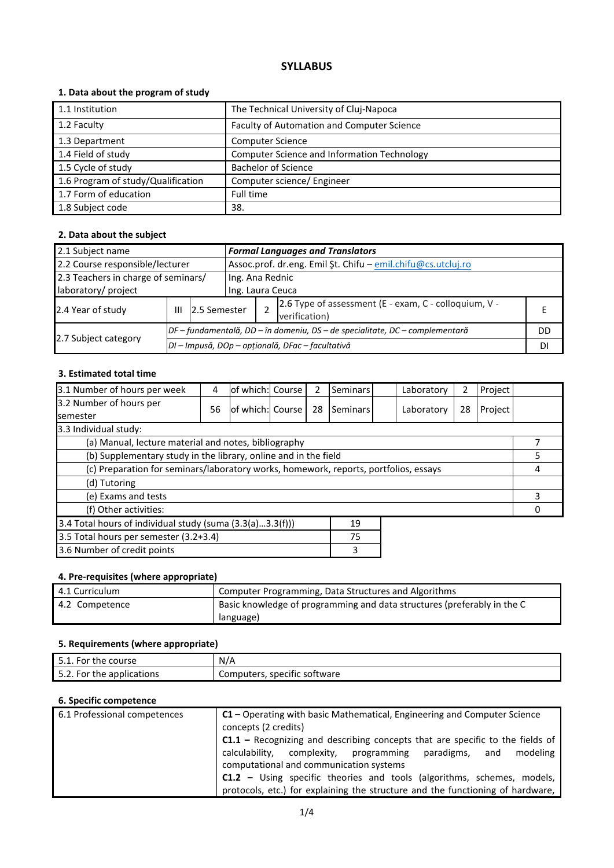# **SYLLABUS**

## **1. Data about the program of study**

| 1.1 Institution                    | The Technical University of Cluj-Napoca     |
|------------------------------------|---------------------------------------------|
| 1.2 Faculty                        | Faculty of Automation and Computer Science  |
| 1.3 Department                     | <b>Computer Science</b>                     |
| 1.4 Field of study                 | Computer Science and Information Technology |
| 1.5 Cycle of study                 | <b>Bachelor of Science</b>                  |
| 1.6 Program of study/Qualification | Computer science/ Engineer                  |
| 1.7 Form of education              | Full time                                   |
| 1.8 Subject code                   | 38.                                         |

## **2. Data about the subject**

| 2.1 Subject name                    |   |              |                                                                              | <b>Formal Languages and Translators</b> |                                                                        |    |  |
|-------------------------------------|---|--------------|------------------------------------------------------------------------------|-----------------------------------------|------------------------------------------------------------------------|----|--|
| 2.2 Course responsible/lecturer     |   |              | Assoc.prof. dr.eng. Emil Şt. Chifu - emil.chifu@cs.utcluj.ro                 |                                         |                                                                        |    |  |
| 2.3 Teachers in charge of seminars/ |   |              | Ing. Ana Rednic                                                              |                                         |                                                                        |    |  |
| laboratory/ project                 |   |              | Ing. Laura Ceuca                                                             |                                         |                                                                        |    |  |
| 2.4 Year of study                   | Ш | 2.5 Semester |                                                                              |                                         | 2.6 Type of assessment (E - exam, C - colloquium, V -<br>verification) |    |  |
|                                     |   |              | DF – fundamentală, DD – în domeniu, DS – de specialitate, DC – complementară |                                         |                                                                        | DD |  |
| 2.7 Subject category                |   |              |                                                                              |                                         | DI - Impusă, DOp - opțională, DFac - facultativă                       | DI |  |

#### **3. Estimated total time**

| 3.1 Number of hours per week                                                         | 4  | lof which: Course |  | 2  | <b>Seminars</b> |  | Laboratory | 2  | Project |  |
|--------------------------------------------------------------------------------------|----|-------------------|--|----|-----------------|--|------------|----|---------|--|
| 3.2 Number of hours per<br><b>semester</b>                                           | 56 | of which: Course  |  | 28 | Seminars        |  | Laboratory | 28 | Project |  |
| 3.3 Individual study:                                                                |    |                   |  |    |                 |  |            |    |         |  |
| (a) Manual, lecture material and notes, bibliography                                 |    |                   |  |    |                 |  |            |    |         |  |
| (b) Supplementary study in the library, online and in the field                      |    |                   |  |    |                 |  |            | 5  |         |  |
| (c) Preparation for seminars/laboratory works, homework, reports, portfolios, essays |    |                   |  |    |                 |  | 4          |    |         |  |
| (d) Tutoring                                                                         |    |                   |  |    |                 |  |            |    |         |  |
| (e) Exams and tests                                                                  |    |                   |  |    |                 |  | 3          |    |         |  |
| (f) Other activities:                                                                |    |                   |  |    |                 |  |            |    |         |  |
| 3.4 Total hours of individual study (suma (3.3(a)3.3(f)))<br>19                      |    |                   |  |    |                 |  |            |    |         |  |
| 3.5 Total hours per semester (3.2+3.4)                                               |    |                   |  |    | 75              |  |            |    |         |  |
| 3.6 Number of credit points                                                          |    |                   |  |    | 3               |  |            |    |         |  |

## **4. Pre-requisites (where appropriate)**

| 4.1 Curriculum | Computer Programming, Data Structures and Algorithms                    |
|----------------|-------------------------------------------------------------------------|
| 4.2 Competence | Basic knowledge of programming and data structures (preferably in the C |
|                | language)                                                               |

#### **5. Requirements (where appropriate)**

| course<br>For<br>the<br><u>.</u>     | N/A                               |
|--------------------------------------|-----------------------------------|
| the applications *<br>For<br><u></u> | Computers,<br>, specific software |

## **6. Specific competence**

| 6.1 Professional competences | $C1$ – Operating with basic Mathematical, Engineering and Computer Science<br>concepts (2 credits) |  |  |  |  |  |  |
|------------------------------|----------------------------------------------------------------------------------------------------|--|--|--|--|--|--|
|                              | <b>C1.1</b> – Recognizing and describing concepts that are specific to the fields of               |  |  |  |  |  |  |
|                              | calculability, complexity, programming<br>paradigms,<br>modeling<br>and                            |  |  |  |  |  |  |
|                              | computational and communication systems                                                            |  |  |  |  |  |  |
|                              | <b>C1.2</b> – Using specific theories and tools (algorithms, schemes, models,                      |  |  |  |  |  |  |
|                              | protocols, etc.) for explaining the structure and the functioning of hardware,                     |  |  |  |  |  |  |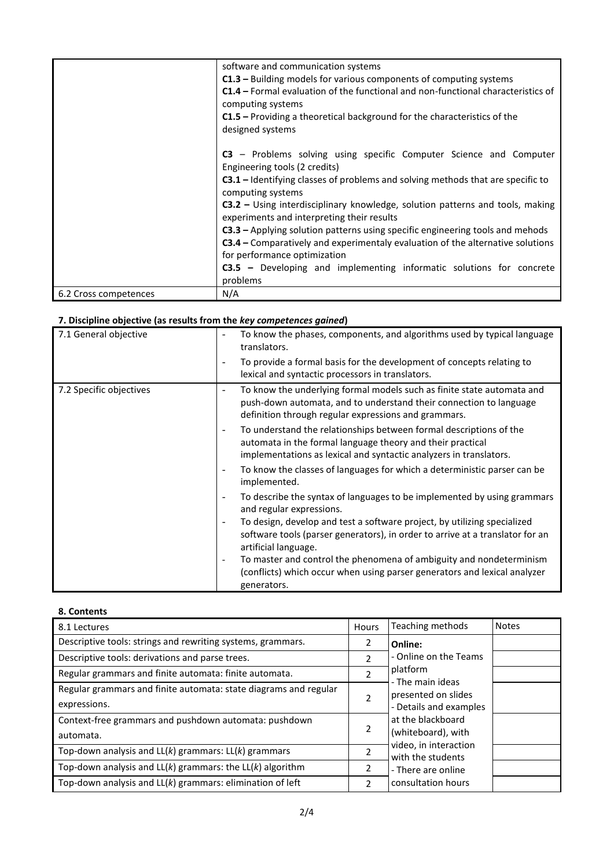|                       | software and communication systems                                                      |
|-----------------------|-----------------------------------------------------------------------------------------|
|                       | $C1.3$ – Building models for various components of computing systems                    |
|                       | <b>C1.4</b> – Formal evaluation of the functional and non-functional characteristics of |
|                       | computing systems                                                                       |
|                       | $C1.5$ – Providing a theoretical background for the characteristics of the              |
|                       | designed systems                                                                        |
|                       |                                                                                         |
|                       | C3 – Problems solving using specific Computer Science and Computer                      |
|                       | Engineering tools (2 credits)                                                           |
|                       | $C3.1$ – Identifying classes of problems and solving methods that are specific to       |
|                       | computing systems                                                                       |
|                       | <b>C3.2</b> – Using interdisciplinary knowledge, solution patterns and tools, making    |
|                       | experiments and interpreting their results                                              |
|                       | C3.3 - Applying solution patterns using specific engineering tools and mehods           |
|                       | <b>C3.4</b> – Comparatively and experimentaly evaluation of the alternative solutions   |
|                       | for performance optimization                                                            |
|                       | C3.5 - Developing and implementing informatic solutions for concrete                    |
|                       | problems                                                                                |
| 6.2 Cross competences | N/A                                                                                     |

# **7. Discipline objective (as results from the** *key competences gained***)**

| 7.1 General objective   | To know the phases, components, and algorithms used by typical language<br>translators.                                                                                                                                            |
|-------------------------|------------------------------------------------------------------------------------------------------------------------------------------------------------------------------------------------------------------------------------|
|                         | To provide a formal basis for the development of concepts relating to<br>lexical and syntactic processors in translators.                                                                                                          |
| 7.2 Specific objectives | To know the underlying formal models such as finite state automata and<br>push-down automata, and to understand their connection to language<br>definition through regular expressions and grammars.                               |
|                         | To understand the relationships between formal descriptions of the<br>$\overline{\phantom{a}}$<br>automata in the formal language theory and their practical<br>implementations as lexical and syntactic analyzers in translators. |
|                         | To know the classes of languages for which a deterministic parser can be<br>implemented.                                                                                                                                           |
|                         | To describe the syntax of languages to be implemented by using grammars<br>$\overline{\phantom{a}}$<br>and regular expressions.                                                                                                    |
|                         | To design, develop and test a software project, by utilizing specialized<br>software tools (parser generators), in order to arrive at a translator for an<br>artificial language.                                                  |
|                         | To master and control the phenomena of ambiguity and nondeterminism<br>$\overline{\phantom{a}}$<br>(conflicts) which occur when using parser generators and lexical analyzer<br>generators.                                        |

#### **8. Contents**

| 8.1 Lectures                                                                     | Hours                                                                     | Teaching methods                           | <b>Notes</b> |
|----------------------------------------------------------------------------------|---------------------------------------------------------------------------|--------------------------------------------|--------------|
| Descriptive tools: strings and rewriting systems, grammars.                      | 2                                                                         | Online:                                    |              |
| Descriptive tools: derivations and parse trees.                                  | 2                                                                         | - Online on the Teams                      |              |
| Regular grammars and finite automata: finite automata.                           | $\overline{\phantom{a}}$                                                  | platform<br>- The main ideas               |              |
| Regular grammars and finite automata: state diagrams and regular<br>expressions. | presented on slides<br>$\overline{\phantom{a}}$<br>- Details and examples |                                            |              |
| Context-free grammars and pushdown automata: pushdown<br>automata.               | 2                                                                         | at the blackboard<br>(whiteboard), with    |              |
| Top-down analysis and $LL(k)$ grammars: $LL(k)$ grammars                         | 2                                                                         | video, in interaction<br>with the students |              |
| Top-down analysis and $LL(k)$ grammars: the $LL(k)$ algorithm                    | 2                                                                         | - There are online                         |              |
| Top-down analysis and $LL(k)$ grammars: elimination of left                      | 2                                                                         | consultation hours                         |              |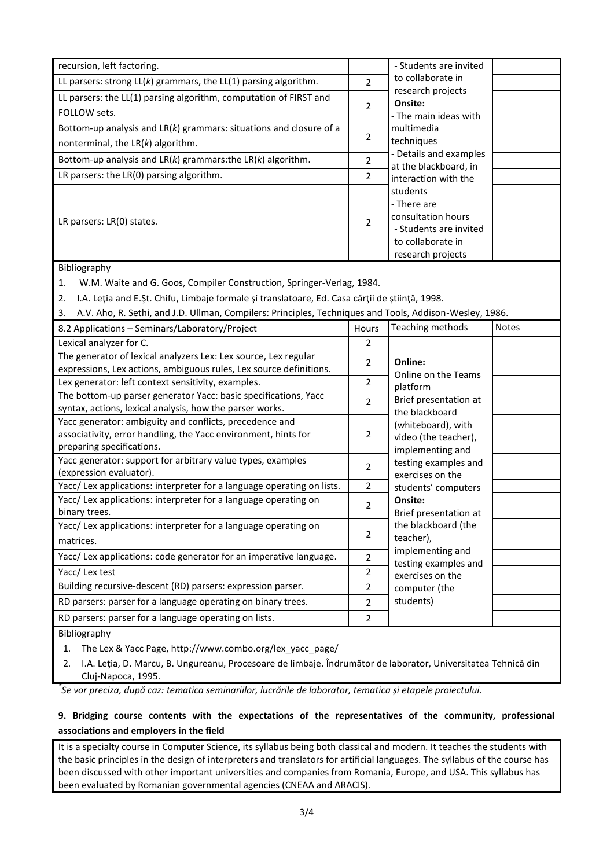| recursion, left factoring.                                           |                | - Students are invited                                                                                            |  |
|----------------------------------------------------------------------|----------------|-------------------------------------------------------------------------------------------------------------------|--|
| LL parsers: strong $LL(k)$ grammars, the $LL(1)$ parsing algorithm.  |                | to collaborate in                                                                                                 |  |
| LL parsers: the LL(1) parsing algorithm, computation of FIRST and    |                | research projects<br>Onsite:                                                                                      |  |
| FOLLOW sets.                                                         | $\overline{2}$ | - The main ideas with                                                                                             |  |
| Bottom-up analysis and $LR(k)$ grammars: situations and closure of a |                | multimedia                                                                                                        |  |
| nonterminal, the $LR(k)$ algorithm.                                  | 2              | techniques                                                                                                        |  |
| Bottom-up analysis and $LR(k)$ grammars: the $LR(k)$ algorithm.      |                | - Details and examples<br>at the blackboard, in                                                                   |  |
| LR parsers: the $LR(0)$ parsing algorithm.                           | 2              | interaction with the                                                                                              |  |
| LR parsers: LR(0) states.                                            | $\overline{2}$ | students<br>- There are<br>consultation hours<br>- Students are invited<br>to collaborate in<br>research projects |  |

#### Bibliography

1. W.M. Waite and G. Goos, Compiler Construction, Springer-Verlag, 1984.

2. I.A. Leţia and E.Şt. Chifu, Limbaje formale şi translatoare, Ed. Casa cărţii de ştiinţă, 1998.

3. A.V. Aho, R. Sethi, and J.D. Ullman, Compilers: Principles, Techniques and Tools, Addison-Wesley, 1986.

| 8.2 Applications - Seminars/Laboratory/Project                                                                                                         | <b>Hours</b>   | Teaching methods                                               | <b>Notes</b> |
|--------------------------------------------------------------------------------------------------------------------------------------------------------|----------------|----------------------------------------------------------------|--------------|
| Lexical analyzer for C.                                                                                                                                | 2              |                                                                |              |
| The generator of lexical analyzers Lex: Lex source, Lex regular<br>expressions, Lex actions, ambiguous rules, Lex source definitions.                  | 2              | Online:<br>Online on the Teams                                 |              |
| Lex generator: left context sensitivity, examples.                                                                                                     | 2              | platform                                                       |              |
| The bottom-up parser generator Yacc: basic specifications, Yacc<br>syntax, actions, lexical analysis, how the parser works.                            | 2              | Brief presentation at<br>the blackboard                        |              |
| Yacc generator: ambiguity and conflicts, precedence and<br>associativity, error handling, the Yacc environment, hints for<br>preparing specifications. | 2              | (whiteboard), with<br>video (the teacher),<br>implementing and |              |
| Yacc generator: support for arbitrary value types, examples<br>(expression evaluator).                                                                 | $\overline{2}$ | testing examples and<br>exercises on the                       |              |
| Yacc/ Lex applications: interpreter for a language operating on lists.                                                                                 | 2              | students' computers                                            |              |
| Yacc/ Lex applications: interpreter for a language operating on<br>binary trees.                                                                       | $\overline{2}$ | Onsite:<br>Brief presentation at                               |              |
| Yacc/ Lex applications: interpreter for a language operating on<br>matrices.                                                                           | 2              | the blackboard (the<br>teacher),                               |              |
| Yacc/ Lex applications: code generator for an imperative language.                                                                                     | $\overline{2}$ | implementing and<br>testing examples and                       |              |
| Yacc/ Lex test                                                                                                                                         | 2              | exercises on the                                               |              |
| Building recursive-descent (RD) parsers: expression parser.                                                                                            | 2              | computer (the                                                  |              |
| RD parsers: parser for a language operating on binary trees.                                                                                           | 2              | students)                                                      |              |
| RD parsers: parser for a language operating on lists.                                                                                                  | $\overline{2}$ |                                                                |              |
| <b>Dibliography</b>                                                                                                                                    |                |                                                                |              |

Bibliography

1. The Lex & Yacc Page, http://www.combo.org/lex\_yacc\_page/

2. I.A. Leţia, D. Marcu, B. Ungureanu, Procesoare de limbaje. Îndrumător de laborator, Universitatea Tehnică din Cluj-Napoca, 1995.

*\* Se vor preciza, după caz: tematica seminariilor, lucrările de laborator, tematica și etapele proiectului.*

## **9. Bridging course contents with the expectations of the representatives of the community, professional associations and employers in the field**

It is a specialty course in Computer Science, its syllabus being both classical and modern. It teaches the students with the basic principles in the design of interpreters and translators for artificial languages. The syllabus of the course has been discussed with other important universities and companies from Romania, Europe, and USA. This syllabus has been evaluated by Romanian governmental agencies (CNEAA and ARACIS).